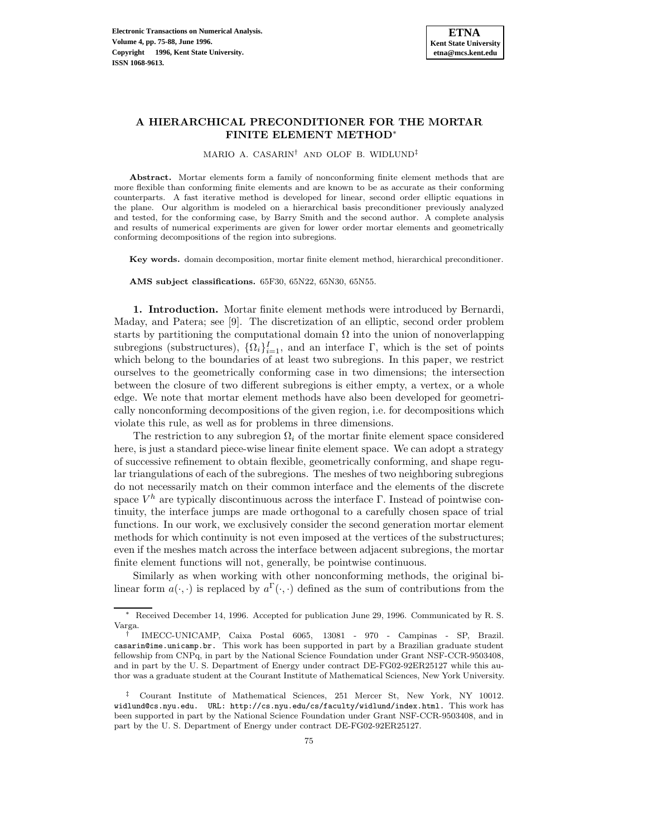# **A HIERARCHICAL PRECONDITIONER FOR THE MORTAR FINITE ELEMENT METHOD**<sup>∗</sup>

MARIO A. CASARIN† AND OLOF B. WIDLUND‡

**Abstract.** Mortar elements form a family of nonconforming finite element methods that are more flexible than conforming finite elements and are known to be as accurate as their conforming counterparts. A fast iterative method is developed for linear, second order elliptic equations in the plane. Our algorithm is modeled on a hierarchical basis preconditioner previously analyzed and tested, for the conforming case, by Barry Smith and the second author. A complete analysis and results of numerical experiments are given for lower order mortar elements and geometrically conforming decompositions of the region into subregions.

**Key words.** domain decomposition, mortar finite element method, hierarchical preconditioner.

**AMS subject classifications.** 65F30, 65N22, 65N30, 65N55.

**1. Introduction.** Mortar finite element methods were introduced by Bernardi, Maday, and Patera; see [9]. The discretization of an elliptic, second order problem starts by partitioning the computational domain  $\Omega$  into the union of nonoverlapping subregions (substructures),  $\{\Omega_i\}_{i=1}^I$ , and an interface  $\Gamma$ , which is the set of points which belong to the boundaries of at least two subregions. In this paper, we restrict ourselves to the geometrically conforming case in two dimensions; the intersection between the closure of two different subregions is either empty, a vertex, or a whole edge. We note that mortar element methods have also been developed for geometrically nonconforming decompositions of the given region, i.e. for decompositions which violate this rule, as well as for problems in three dimensions.

The restriction to any subregion  $\Omega_i$  of the mortar finite element space considered here, is just a standard piece-wise linear finite element space. We can adopt a strategy of successive refinement to obtain flexible, geometrically conforming, and shape regular triangulations of each of the subregions. The meshes of two neighboring subregions do not necessarily match on their common interface and the elements of the discrete space  $V^h$  are typically discontinuous across the interface Γ. Instead of pointwise continuity, the interface jumps are made orthogonal to a carefully chosen space of trial functions. In our work, we exclusively consider the second generation mortar element methods for which continuity is not even imposed at the vertices of the substructures; even if the meshes match across the interface between adjacent subregions, the mortar finite element functions will not, generally, be pointwise continuous.

Similarly as when working with other nonconforming methods, the original bilinear form  $a(\cdot, \cdot)$  is replaced by  $a^{\Gamma}(\cdot, \cdot)$  defined as the sum of contributions from the

<sup>∗</sup> Received December 14, 1996. Accepted for publication June 29, 1996. Communicated by R. S. Varga.

<sup>†</sup> IMECC-UNICAMP, Caixa Postal 6065, 13081 - 970 - Campinas - SP, Brazil. casarin@ime.unicamp.br. This work has been supported in part by a Brazilian graduate student fellowship from CNPq, in part by the National Science Foundation under Grant NSF-CCR-9503408, and in part by the U. S. Department of Energy under contract DE-FG02-92ER25127 while this author was a graduate student at the Courant Institute of Mathematical Sciences, New York University.

<sup>‡</sup> Courant Institute of Mathematical Sciences, 251 Mercer St, New York, NY 10012. widlund@cs.nyu.edu. URL: http://cs.nyu.edu/cs/faculty/widlund/index.html. This work has been supported in part by the National Science Foundation under Grant NSF-CCR-9503408, and in part by the U. S. Department of Energy under contract DE-FG02-92ER25127.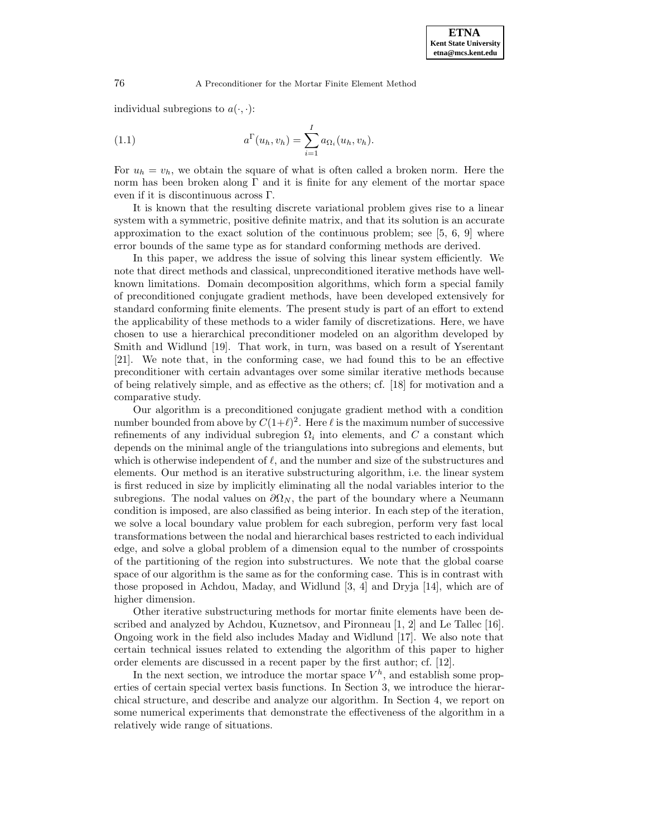individual subregions to  $a(\cdot, \cdot)$ :

(1.1) 
$$
a^{\Gamma}(u_h, v_h) = \sum_{i=1}^{I} a_{\Omega_i}(u_h, v_h).
$$

For  $u_h = v_h$ , we obtain the square of what is often called a broken norm. Here the norm has been broken along Γ and it is finite for any element of the mortar space even if it is discontinuous across Γ.

It is known that the resulting discrete variational problem gives rise to a linear system with a symmetric, positive definite matrix, and that its solution is an accurate approximation to the exact solution of the continuous problem; see  $[5, 6, 9]$  where error bounds of the same type as for standard conforming methods are derived.

In this paper, we address the issue of solving this linear system efficiently. We note that direct methods and classical, unpreconditioned iterative methods have wellknown limitations. Domain decomposition algorithms, which form a special family of preconditioned conjugate gradient methods, have been developed extensively for standard conforming finite elements. The present study is part of an effort to extend the applicability of these methods to a wider family of discretizations. Here, we have chosen to use a hierarchical preconditioner modeled on an algorithm developed by Smith and Widlund [19]. That work, in turn, was based on a result of Yserentant [21]. We note that, in the conforming case, we had found this to be an effective preconditioner with certain advantages over some similar iterative methods because of being relatively simple, and as effective as the others; cf. [18] for motivation and a comparative study.

Our algorithm is a preconditioned conjugate gradient method with a condition number bounded from above by  $C(1+\ell)^2$ . Here  $\ell$  is the maximum number of successive refinements of any individual subregion  $\Omega_i$  into elements, and C a constant which depends on the minimal angle of the triangulations into subregions and elements, but which is otherwise independent of  $\ell$ , and the number and size of the substructures and elements. Our method is an iterative substructuring algorithm, i.e. the linear system is first reduced in size by implicitly eliminating all the nodal variables interior to the subregions. The nodal values on  $\partial \Omega_N$ , the part of the boundary where a Neumann condition is imposed, are also classified as being interior. In each step of the iteration, we solve a local boundary value problem for each subregion, perform very fast local transformations between the nodal and hierarchical bases restricted to each individual edge, and solve a global problem of a dimension equal to the number of crosspoints of the partitioning of the region into substructures. We note that the global coarse space of our algorithm is the same as for the conforming case. This is in contrast with those proposed in Achdou, Maday, and Widlund [3, 4] and Dryja [14], which are of higher dimension.

Other iterative substructuring methods for mortar finite elements have been described and analyzed by Achdou, Kuznetsov, and Pironneau [1, 2] and Le Tallec [16]. Ongoing work in the field also includes Maday and Widlund [17]. We also note that certain technical issues related to extending the algorithm of this paper to higher order elements are discussed in a recent paper by the first author; cf. [12].

In the next section, we introduce the mortar space  $V^h$ , and establish some properties of certain special vertex basis functions. In Section 3, we introduce the hierarchical structure, and describe and analyze our algorithm. In Section 4, we report on some numerical experiments that demonstrate the effectiveness of the algorithm in a relatively wide range of situations.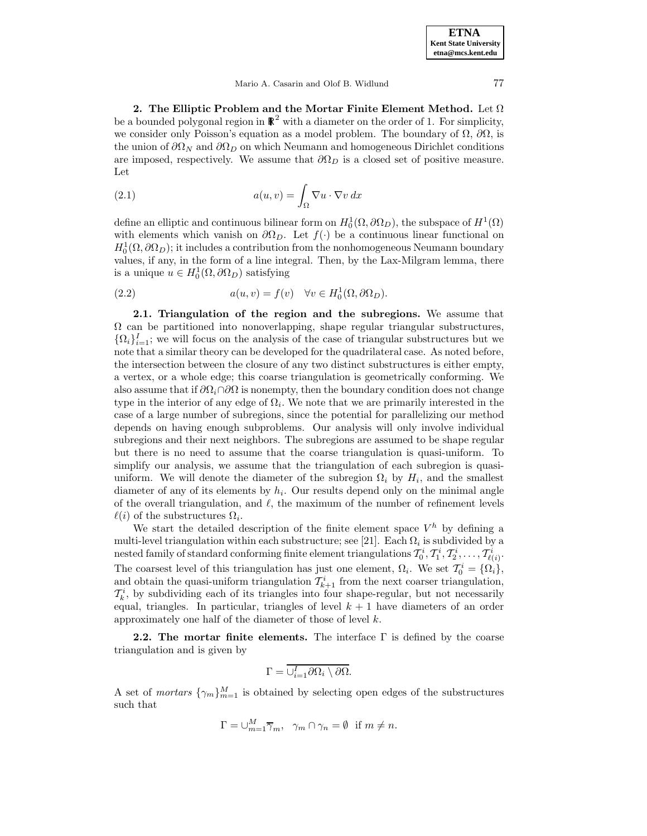Mario A. Casarin and Olof B. Widlund 77

**2. The Elliptic Problem and the Mortar Finite Element Method.** Let Ω be a bounded polygonal region in  $\mathbb{R}^2$  with a diameter on the order of 1. For simplicity, we consider only Poisson's equation as a model problem. The boundary of  $\Omega$ ,  $\partial\Omega$ , is the union of  $\partial\Omega_N$  and  $\partial\Omega_D$  on which Neumann and homogeneous Dirichlet conditions are imposed, respectively. We assume that  $\partial\Omega_D$  is a closed set of positive measure. Let

(2.1) 
$$
a(u,v) = \int_{\Omega} \nabla u \cdot \nabla v \, dx
$$

define an elliptic and continuous bilinear form on  $H_0^1(\Omega, \partial \Omega_D)$ , the subspace of  $H^1(\Omega)$ with elements which vanish on  $\partial\Omega_D$ . Let  $f(\cdot)$  be a continuous linear functional on  $H_0^1(\Omega, \partial \Omega_D)$ ; it includes a contribution from the nonhomogeneous Neumann boundary values, if any, in the form of a line integral. Then, by the Lax-Milgram lemma, there is a unique  $u \in H_0^1(\Omega, \partial \Omega_D)$  satisfying

(2.2) 
$$
a(u, v) = f(v) \quad \forall v \in H_0^1(\Omega, \partial \Omega_D).
$$

**2.1. Triangulation of the region and the subregions.** We assume that  $\Omega$  can be partitioned into nonoverlapping, shape regular triangular substructures,  $\{\Omega_i\}_{i=1}^I$ ; we will focus on the analysis of the case of triangular substructures but we note that a similar theory can be developed for the quadrilateral case. As noted before, the intersection between the closure of any two distinct substructures is either empty, a vertex, or a whole edge; this coarse triangulation is geometrically conforming. We also assume that if  $\partial\Omega_i \cap \partial\Omega$  is nonempty, then the boundary condition does not change type in the interior of any edge of  $\Omega_i$ . We note that we are primarily interested in the case of a large number of subregions, since the potential for parallelizing our method depends on having enough subproblems. Our analysis will only involve individual subregions and their next neighbors. The subregions are assumed to be shape regular but there is no need to assume that the coarse triangulation is quasi-uniform. To simplify our analysis, we assume that the triangulation of each subregion is quasiuniform. We will denote the diameter of the subregion  $\Omega_i$  by  $H_i$ , and the smallest diameter of any of its elements by  $h_i$ . Our results depend only on the minimal angle of the overall triangulation, and  $\ell$ , the maximum of the number of refinement levels  $\ell(i)$  of the substructures  $\Omega_i$ .

We start the detailed description of the finite element space  $V^h$  by defining a multi-level triangulation within each substructure; see [21]. Each  $\Omega_i$  is subdivided by a nested family of standard conforming finite element triangulations  $\mathcal{T}_0^i, \mathcal{T}_1^i, \mathcal{T}_2^i, \ldots, \mathcal{T}_{\ell(i)}^i.$ The coarsest level of this triangulation has just one element,  $\Omega_i$ . We set  $\mathcal{T}_0^i = {\Omega_i}$ , and obtain the quasi-uniform triangulation  $\mathcal{T}_{k+1}^i$  from the next coarser triangulation,  $\mathcal{T}_{k}^{i}$ , by subdividing each of its triangles into four shape-regular, but not necessarily equal, triangles. In particular, triangles of level  $k + 1$  have diameters of an order approximately one half of the diameter of those of level k.

**2.2. The mortar finite elements.** The interface Γ is defined by the coarse triangulation and is given by

$$
\Gamma = \overline{\cup_{i=1}^{I} \partial \Omega_i \setminus \partial \Omega}.
$$

A set of *mortars*  $\{\gamma_m\}_{m=1}^M$  is obtained by selecting open edges of the substructures such that

$$
\Gamma = \cup_{m=1}^{M} \overline{\gamma}_m, \ \ \gamma_m \cap \gamma_n = \emptyset \ \ \text{if} \ m \neq n.
$$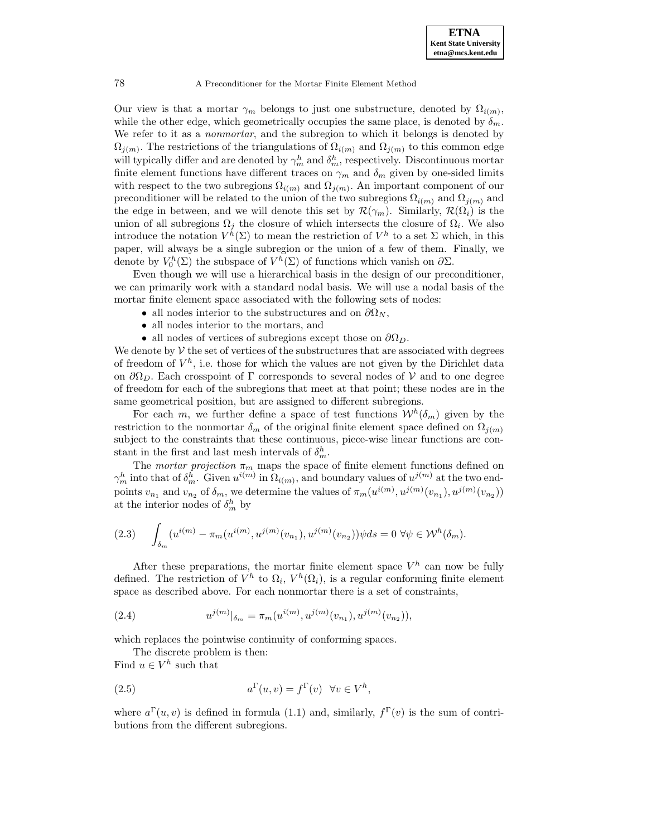Our view is that a mortar  $\gamma_m$  belongs to just one substructure, denoted by  $\Omega_{i(m)}$ , while the other edge, which geometrically occupies the same place, is denoted by  $\delta_m$ . We refer to it as a *nonmortar*, and the subregion to which it belongs is denoted by  $\Omega_{i(m)}$ . The restrictions of the triangulations of  $\Omega_{i(m)}$  and  $\Omega_{i(m)}$  to this common edge will typically differ and are denoted by  $\gamma_m^h$  and  $\delta_m^h$ , respectively. Discontinuous mortar finite element functions have different traces on  $\gamma_m$  and  $\delta_m$  given by one-sided limits with respect to the two subregions  $\Omega_{i(m)}$  and  $\Omega_{j(m)}$ . An important component of our preconditioner will be related to the union of the two subregions  $\Omega_{i(m)}$  and  $\Omega_{j(m)}$  and the edge in between, and we will denote this set by  $\mathcal{R}(\gamma_m)$ . Similarly,  $\mathcal{R}(\Omega_i)$  is the union of all subregions  $\Omega_j$  the closure of which intersects the closure of  $\Omega_i$ . We also introduce the notation  $V^h(\Sigma)$  to mean the restriction of  $V^h$  to a set  $\Sigma$  which, in this paper, will always be a single subregion or the union of a few of them. Finally, we denote by  $V_0^h(\Sigma)$  the subspace of  $V^h(\Sigma)$  of functions which vanish on  $\partial \Sigma$ .

Even though we will use a hierarchical basis in the design of our preconditioner, we can primarily work with a standard nodal basis. We will use a nodal basis of the mortar finite element space associated with the following sets of nodes:

- all nodes interior to the substructures and on  $\partial\Omega_N$ ,
- all nodes interior to the mortars, and
- all nodes of vertices of subregions except those on  $\partial\Omega_D$ .

We denote by  $V$  the set of vertices of the substructures that are associated with degrees of freedom of  $V^h$ , i.e. those for which the values are not given by the Dirichlet data on  $\partial\Omega_D$ . Each crosspoint of Γ corresponds to several nodes of V and to one degree of freedom for each of the subregions that meet at that point; these nodes are in the same geometrical position, but are assigned to different subregions.

For each m, we further define a space of test functions  $W^h(\delta_m)$  given by the restriction to the nonmortar  $\delta_m$  of the original finite element space defined on  $\Omega_{j(m)}$ subject to the constraints that these continuous, piece-wise linear functions are constant in the first and last mesh intervals of  $\delta_m^h$ .

The mortar projection  $\pi_m$  maps the space of finite element functions defined on  $\gamma_m^h$  into that of  $\delta_m^h$ . Given  $u^{i(m)}$  in  $\Omega_{i(m)}$ , and boundary values of  $u^{j(m)}$  at the two endpoints  $v_{n_1}$  and  $v_{n_2}$  of  $\delta_m$ , we determine the values of  $\pi_m(u^{i(m)}, u^{j(m)}(v_{n_1}), u^{j(m)}(v_{n_2}))$ at the interior nodes of  $\delta_m^h$  by

$$
(2.3) \qquad \int_{\delta_m} (u^{i(m)} - \pi_m(u^{i(m)}, u^{j(m)}(v_{n_1}), u^{j(m)}(v_{n_2}))\psi ds = 0 \,\,\forall \psi \in \mathcal{W}^h(\delta_m).
$$

After these preparations, the mortar finite element space  $V^h$  can now be fully defined. The restriction of  $V^h$  to  $\Omega_i$ ,  $V^h(\Omega_i)$ , is a regular conforming finite element space as described above. For each nonmortar there is a set of constraints,

(2.4) 
$$
u^{j(m)}|_{\delta_m} = \pi_m(u^{i(m)}, u^{j(m)}(v_{n_1}), u^{j(m)}(v_{n_2})),
$$

which replaces the pointwise continuity of conforming spaces.

The discrete problem is then:

Find  $u \in V^h$  such that

(2.5) 
$$
a^{\Gamma}(u,v) = f^{\Gamma}(v) \quad \forall v \in V^h,
$$

where  $a^{\Gamma}(u, v)$  is defined in formula (1.1) and, similarly,  $f^{\Gamma}(v)$  is the sum of contributions from the different subregions.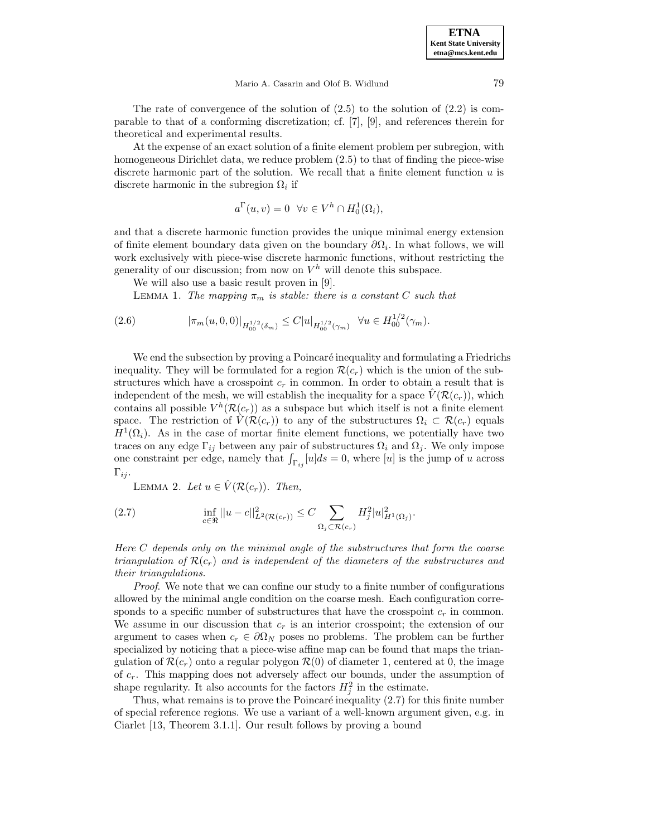**ETNA Kent State University etna@mcs.kent.edu**

The rate of convergence of the solution of  $(2.5)$  to the solution of  $(2.2)$  is comparable to that of a conforming discretization; cf. [7], [9], and references therein for theoretical and experimental results.

At the expense of an exact solution of a finite element problem per subregion, with homogeneous Dirichlet data, we reduce problem (2.5) to that of finding the piece-wise discrete harmonic part of the solution. We recall that a finite element function  $u$  is discrete harmonic in the subregion  $\Omega_i$  if

$$
a^{\Gamma}(u,v) = 0 \quad \forall v \in V^h \cap H_0^1(\Omega_i),
$$

and that a discrete harmonic function provides the unique minimal energy extension of finite element boundary data given on the boundary  $\partial\Omega_i$ . In what follows, we will work exclusively with piece-wise discrete harmonic functions, without restricting the generality of our discussion; from now on  $V^h$  will denote this subspace.

We will also use a basic result proven in [9].

LEMMA 1. The mapping  $\pi_m$  is stable: there is a constant C such that

$$
(2.6) \t\t |\pi_m(u,0,0)|_{H_{00}^{1/2}(\delta_m)} \leq C|u|_{H_{00}^{1/2}(\gamma_m)} \quad \forall u \in H_{00}^{1/2}(\gamma_m).
$$

We end the subsection by proving a Poincaré inequality and formulating a Friedrichs inequality. They will be formulated for a region  $\mathcal{R}(c_r)$  which is the union of the substructures which have a crosspoint  $c_r$  in common. In order to obtain a result that is independent of the mesh, we will establish the inequality for a space  $V(\mathcal{R}(c_r))$ , which contains all possible  $V^h(\mathcal{R}(c_r))$  as a subspace but which itself is not a finite element space. The restriction of  $\hat{V}(\mathcal{R}(c_r))$  to any of the substructures  $\Omega_i \subset \mathcal{R}(c_r)$  equals  $H^1(\Omega_i)$ . As in the case of mortar finite element functions, we potentially have two traces on any edge  $\Gamma_{ij}$  between any pair of substructures  $\Omega_i$  and  $\Omega_j$ . We only impose one constraint per edge, namely that  $\int_{\Gamma_{ij}} [u] ds = 0$ , where [u] is the jump of u across  $\Gamma_{ij}$ .

LEMMA 2. Let  $u \in \hat{V}(\mathcal{R}(c_r))$ . Then,

(2.7) 
$$
\inf_{c \in \mathbb{R}} ||u - c||_{L^{2}(\mathcal{R}(c_{r}))}^{2} \leq C \sum_{\Omega_{j} \subset \mathcal{R}(c_{r})} H_{j}^{2} |u|_{H^{1}(\Omega_{j})}^{2}.
$$

Here C depends only on the minimal angle of the substructures that form the coarse triangulation of  $\mathcal{R}(c_r)$  and is independent of the diameters of the substructures and their triangulations.

Proof. We note that we can confine our study to a finite number of configurations allowed by the minimal angle condition on the coarse mesh. Each configuration corresponds to a specific number of substructures that have the crosspoint  $c_r$  in common. We assume in our discussion that  $c_r$  is an interior crosspoint; the extension of our argument to cases when  $c_r \in \partial \Omega_N$  poses no problems. The problem can be further specialized by noticing that a piece-wise affine map can be found that maps the triangulation of  $\mathcal{R}(c_r)$  onto a regular polygon  $\mathcal{R}(0)$  of diameter 1, centered at 0, the image of  $c_r$ . This mapping does not adversely affect our bounds, under the assumption of shape regularity. It also accounts for the factors  $H_j^2$  in the estimate.

Thus, what remains is to prove the Poincaré inequality  $(2.7)$  for this finite number of special reference regions. We use a variant of a well-known argument given, e.g. in Ciarlet [13, Theorem 3.1.1]. Our result follows by proving a bound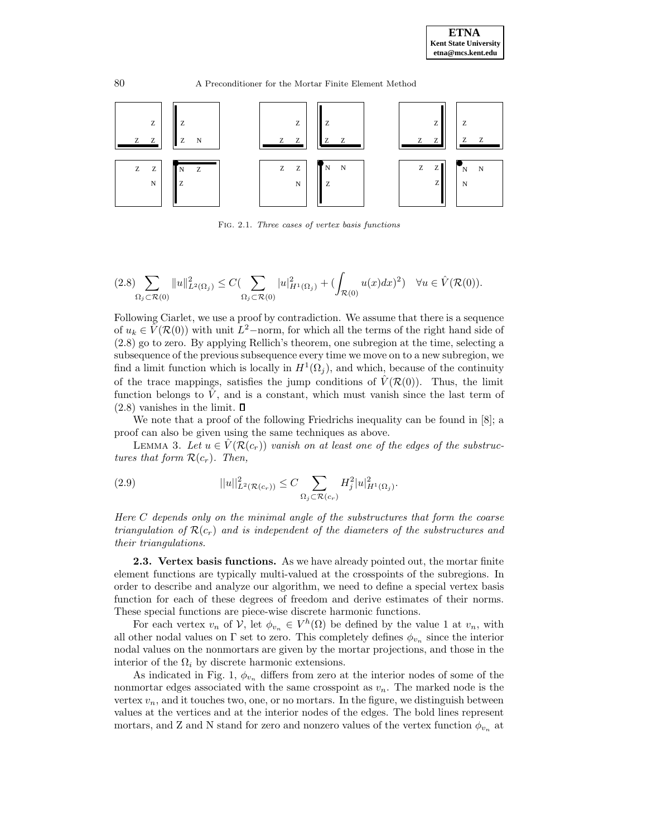



Fig. 2.1. Three cases of vertex basis functions

$$
(2.8)\sum_{\Omega_j \subset \mathcal{R}(0)} \|u\|_{L^2(\Omega_j)}^2 \leq C(\sum_{\Omega_j \subset \mathcal{R}(0)} |u|_{H^1(\Omega_j)}^2 + (\int_{\mathcal{R}(0)} u(x)dx)^2) \quad \forall u \in \hat{V}(\mathcal{R}(0)).
$$

Following Ciarlet, we use a proof by contradiction. We assume that there is a sequence of  $u_k \in \hat{V}(\mathcal{R}(0))$  with unit  $L^2$ –norm, for which all the terms of the right hand side of (2.8) go to zero. By applying Rellich's theorem, one subregion at the time, selecting a subsequence of the previous subsequence every time we move on to a new subregion, we find a limit function which is locally in  $H^1(\Omega_i)$ , and which, because of the continuity of the trace mappings, satisfies the jump conditions of  $\hat{V}(\mathcal{R}(0))$ . Thus, the limit function belongs to  $\hat{V}$ , and is a constant, which must vanish since the last term of  $(2.8)$  vanishes in the limit.  $\square$ 

We note that a proof of the following Friedrichs inequality can be found in [8]; a proof can also be given using the same techniques as above.

LEMMA 3. Let  $u \in V(\mathcal{R}(c_r))$  vanish on at least one of the edges of the substructures that form  $\mathcal{R}(c_r)$ . Then,

(2.9) 
$$
||u||_{L^{2}(\mathcal{R}(c_{r}))}^{2} \leq C \sum_{\Omega_{j} \subset \mathcal{R}(c_{r})} H_{j}^{2} |u|_{H^{1}(\Omega_{j})}^{2}.
$$

Here C depends only on the minimal angle of the substructures that form the coarse triangulation of  $\mathcal{R}(c_r)$  and is independent of the diameters of the substructures and their triangulations.

**2.3. Vertex basis functions.** As we have already pointed out, the mortar finite element functions are typically multi-valued at the crosspoints of the subregions. In order to describe and analyze our algorithm, we need to define a special vertex basis function for each of these degrees of freedom and derive estimates of their norms. These special functions are piece-wise discrete harmonic functions.

For each vertex  $v_n$  of  $\mathcal{V}$ , let  $\phi_{v_n} \in V^h(\Omega)$  be defined by the value 1 at  $v_n$ , with all other nodal values on Γ set to zero. This completely defines  $\phi_{v_n}$  since the interior nodal values on the nonmortars are given by the mortar projections, and those in the interior of the  $\Omega_i$  by discrete harmonic extensions.

As indicated in Fig. 1,  $\phi_{v_n}$  differs from zero at the interior nodes of some of the nonmortar edges associated with the same crosspoint as  $v_n$ . The marked node is the vertex  $v_n$ , and it touches two, one, or no mortars. In the figure, we distinguish between values at the vertices and at the interior nodes of the edges. The bold lines represent mortars, and Z and N stand for zero and nonzero values of the vertex function  $\phi_{v_n}$  at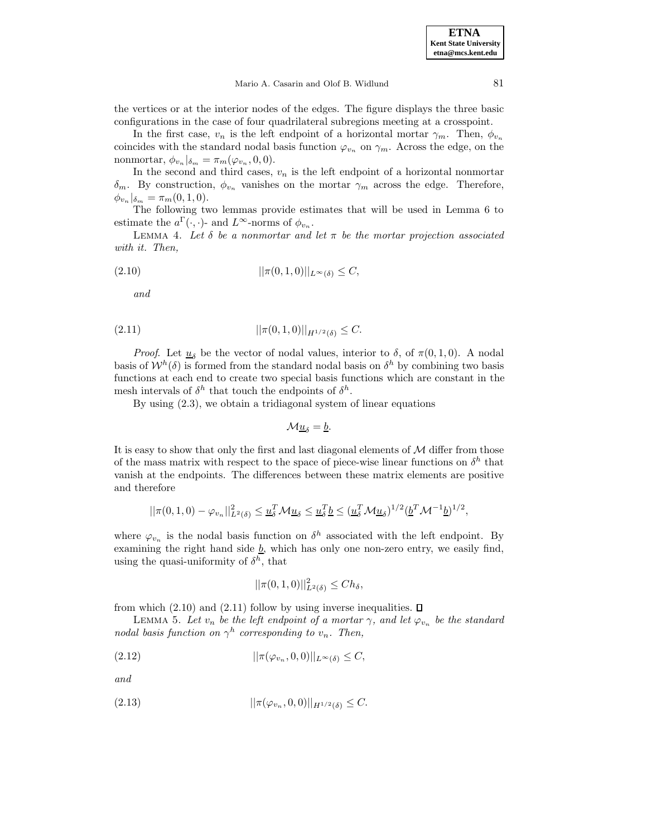the vertices or at the interior nodes of the edges. The figure displays the three basic configurations in the case of four quadrilateral subregions meeting at a crosspoint.

In the first case,  $v_n$  is the left endpoint of a horizontal mortar  $\gamma_m$ . Then,  $\phi_{v_n}$ coincides with the standard nodal basis function  $\varphi_{v_n}$  on  $\gamma_m$ . Across the edge, on the nonmortar,  $\phi_{v_n}|_{\delta_m} = \pi_m(\varphi_{v_n}, 0, 0).$ 

In the second and third cases,  $v_n$  is the left endpoint of a horizontal nonmortar  $\delta_m$ . By construction,  $\phi_{v_n}$  vanishes on the mortar  $\gamma_m$  across the edge. Therefore,  $\phi_{v_n}|_{\delta_m} = \pi_m(0,1,0).$ 

The following two lemmas provide estimates that will be used in Lemma 6 to estimate the  $a^{\Gamma}(\cdot, \cdot)$ - and  $L^{\infty}$ -norms of  $\phi_{v_n}$ .

LEMMA 4. Let  $\delta$  be a nonmortar and let  $\pi$  be the mortar projection associated with it. Then,

$$
(|\pi(0, 1, 0)||_{L^{\infty}(\delta)} \le C,
$$

and

$$
||\pi(0,1,0)||_{H^{1/2}(\delta)} \leq C.
$$

*Proof.* Let  $\underline{u}_{\delta}$  be the vector of nodal values, interior to  $\delta$ , of  $\pi(0, 1, 0)$ . A nodal basis of  $W^h(\delta)$  is formed from the standard nodal basis on  $\delta^h$  by combining two basis functions at each end to create two special basis functions which are constant in the mesh intervals of  $\delta^h$  that touch the endpoints of  $\delta^h$ .

By using (2.3), we obtain a tridiagonal system of linear equations

$$
\mathcal{M}\underline{u}_{\delta}=\underline{b}.
$$

It is easy to show that only the first and last diagonal elements of  $M$  differ from those of the mass matrix with respect to the space of piece-wise linear functions on  $\delta^h$  that vanish at the endpoints. The differences between these matrix elements are positive and therefore

$$
||\pi(0,1,0)-\varphi_{v_n}||_{L^2(\delta)}^2 \leq \underline{u}_{\delta}^T \mathcal{M} \underline{u}_{\delta} \leq \underline{u}_{\delta}^T \underline{b} \leq (\underline{u}_{\delta}^T \mathcal{M} \underline{u}_{\delta})^{1/2} (\underline{b}^T \mathcal{M}^{-1} \underline{b})^{1/2},
$$

where  $\varphi_{v_n}$  is the nodal basis function on  $\delta^h$  associated with the left endpoint. By examining the right hand side  $\underline{b}$ , which has only one non-zero entry, we easily find, using the quasi-uniformity of  $\delta^h$ , that

$$
||\pi(0,1,0)||_{L^{2}(\delta)}^{2} \leq Ch_{\delta},
$$

from which  $(2.10)$  and  $(2.11)$  follow by using inverse inequalities.  $\square$ 

LEMMA 5. Let  $v_n$  be the left endpoint of a mortar  $\gamma$ , and let  $\varphi_{v_n}$  be the standard nodal basis function on  $\gamma^h$  corresponding to  $v_n$ . Then,

$$
||\pi(\varphi_{v_n}, 0, 0)||_{L^{\infty}(\delta)} \leq C,
$$

and

$$
||\pi(\varphi_{v_n}, 0, 0)||_{H^{1/2}(\delta)} \leq C.
$$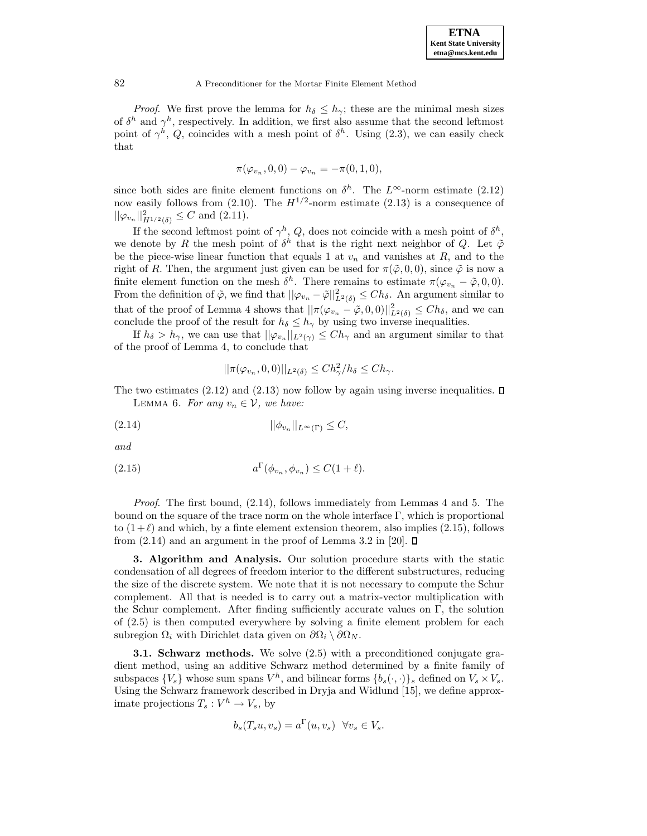*Proof.* We first prove the lemma for  $h_{\delta} \leq h_{\gamma}$ ; these are the minimal mesh sizes of  $\delta^h$  and  $\gamma^h$ , respectively. In addition, we first also assume that the second leftmost point of  $\gamma^h$ , Q, coincides with a mesh point of  $\delta^h$ . Using (2.3), we can easily check that

$$
\pi(\varphi_{v_n}, 0, 0) - \varphi_{v_n} = -\pi(0, 1, 0),
$$

since both sides are finite element functions on  $\delta^h$ . The L<sup>∞</sup>-norm estimate (2.12) now easily follows from (2.10). The  $H^{1/2}$ -norm estimate (2.13) is a consequence of  $\|\varphi_{v_n}\|_{H^{1/2}(\delta)}^2 \leq C$  and  $(2.11)$ .

If the second leftmost point of  $\gamma^h$ , Q, does not coincide with a mesh point of  $\delta^h$ , we denote by R the mesh point of  $\delta^h$  that is the right next neighbor of Q. Let  $\tilde{\varphi}$ be the piece-wise linear function that equals 1 at  $v_n$  and vanishes at R, and to the right of R. Then, the argument just given can be used for  $\pi(\tilde{\varphi}, 0, 0)$ , since  $\tilde{\varphi}$  is now a finite element function on the mesh  $\delta^h$ . There remains to estimate  $\pi(\varphi_{v_n} - \tilde{\varphi}, 0, 0)$ . From the definition of  $\tilde{\varphi}$ , we find that  $||\varphi_{v_n} - \tilde{\varphi}||^2_{L^2(\delta)} \leq Ch_{\delta}$ . An argument similar to that of the proof of Lemma 4 shows that  $||\pi(\varphi_{v_n} - \tilde{\varphi}, 0, 0)||^2_{L^2(\delta)} \leq Ch_{\delta}$ , and we can conclude the proof of the result for  $h_{\delta} \leq h_{\gamma}$  by using two inverse inequalities.

If  $h_{\delta} > h_{\gamma}$ , we can use that  $||\varphi_{v_n}||_{L^2(\gamma)} \leq Ch_{\gamma}$  and an argument similar to that of the proof of Lemma 4, to conclude that

$$
||\pi(\varphi_{v_n}, 0, 0)||_{L^2(\delta)} \le Ch_\gamma^2/h_\delta \le Ch_\gamma.
$$

The two estimates  $(2.12)$  and  $(2.13)$  now follow by again using inverse inequalities.  $\square$ LEMMA 6. For any  $v_n \in V$ , we have:

$$
||\phi_{v_n}||_{L^{\infty}(\Gamma)} \leq C,
$$

and

$$
(2.15) \t\t a\Gamma(\phi_{v_n}, \phi_{v_n}) \leq C(1+\ell).
$$

Proof. The first bound, (2.14), follows immediately from Lemmas 4 and 5. The bound on the square of the trace norm on the whole interface  $\Gamma$ , which is proportional to  $(1+\ell)$  and which, by a finte element extension theorem, also implies (2.15), follows from  $(2.14)$  and an argument in the proof of Lemma 3.2 in [20].  $\Box$ 

**3. Algorithm and Analysis.** Our solution procedure starts with the static condensation of all degrees of freedom interior to the different substructures, reducing the size of the discrete system. We note that it is not necessary to compute the Schur complement. All that is needed is to carry out a matrix-vector multiplication with the Schur complement. After finding sufficiently accurate values on  $\Gamma$ , the solution of (2.5) is then computed everywhere by solving a finite element problem for each subregion  $\Omega_i$  with Dirichlet data given on  $\partial\Omega_i \setminus \partial\Omega_N$ .

**3.1. Schwarz methods.** We solve (2.5) with a preconditioned conjugate gradient method, using an additive Schwarz method determined by a finite family of subspaces  $\{V_s\}$  whose sum spans  $V^h$ , and bilinear forms  $\{b_s(\cdot,\cdot)\}\$  defined on  $V_s \times V_s$ . Using the Schwarz framework described in Dryja and Widlund [15], we define approximate projections  $T_s: V^h \to V_s$ , by

$$
b_s(T_s u, v_s) = a^{\Gamma}(u, v_s) \quad \forall v_s \in V_s.
$$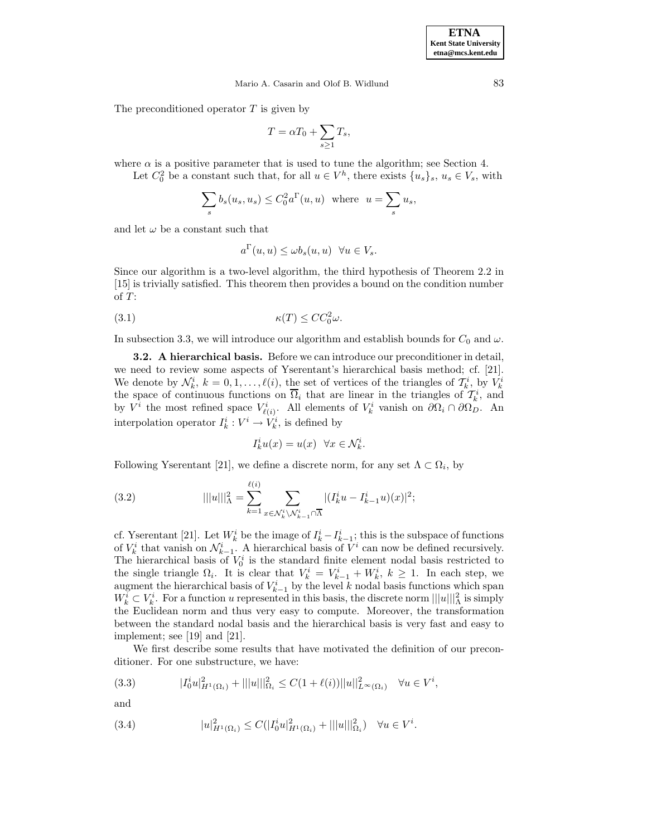The preconditioned operator  $T$  is given by

$$
T = \alpha T_0 + \sum_{s \ge 1} T_s,
$$

where  $\alpha$  is a positive parameter that is used to tune the algorithm; see Section 4.

Let  $C_0^2$  be a constant such that, for all  $u \in V^h$ , there exists  $\{u_s\}_s, u_s \in V_s$ , with

$$
\sum_{s} b_s(u_s, u_s) \leq C_0^2 a^{\Gamma}(u, u) \text{ where } u = \sum_{s} u_s,
$$

and let  $\omega$  be a constant such that

$$
a^{\Gamma}(u, u) \leq \omega b_s(u, u) \quad \forall u \in V_s.
$$

Since our algorithm is a two-level algorithm, the third hypothesis of Theorem 2.2 in [15] is trivially satisfied. This theorem then provides a bound on the condition number of  $T$ :

κ(T ) ≤ CC<sup>2</sup> (3.1) <sup>0</sup>ω.

In subsection 3.3, we will introduce our algorithm and establish bounds for  $C_0$  and  $\omega$ .

**3.2. A hierarchical basis.** Before we can introduce our preconditioner in detail, we need to review some aspects of Yserentant's hierarchical basis method; cf. [21]. We denote by  $\mathcal{N}_k^i$ ,  $k = 0, 1, \ldots, \ell(i)$ , the set of vertices of the triangles of  $\mathcal{T}_k^i$ , by  $V_k^i$  the space of continuous functions on  $\overline{\Omega}_i$  that are linear in the triangles of  $\mathcal{T}_k^i$ , and by  $V^i$  the most refined space  $V^i_{\ell(i)}$ . All elements of  $V^i_k$  vanish on  $\partial\Omega_i \cap \partial\Omega_D$ . An interpolation operator  $I_k^i: V^i \to V_k^i$ , is defined by

$$
I_k^i u(x) = u(x) \quad \forall x \in \mathcal{N}_k^i.
$$

Following Yserentant [21], we define a discrete norm, for any set  $\Lambda \subset \Omega_i$ , by

(3.2) 
$$
|||u|||_{\Lambda}^{2} = \sum_{k=1}^{\ell(i)} \sum_{x \in \mathcal{N}_{k}^{i} \setminus \mathcal{N}_{k-1}^{i} \cap \overline{\Lambda}} |(I_{k}^{i}u - I_{k-1}^{i}u)(x)|^{2};
$$

cf. Yserentant [21]. Let  $W_k^i$  be the image of  $I_k^i - I_{k-1}^i$ ; this is the subspace of functions of  $V_k^i$  that vanish on  $\mathcal{N}_{k-1}^i$ . A hierarchical basis of  $V^i$  can now be defined recursively. The hierarchical basis of  $V_0^i$  is the standard finite element nodal basis restricted to the single triangle  $\Omega_i$ . It is clear that  $V_k^i = V_{k-1}^i + W_k^i$ ,  $k \ge 1$ . In each step, we augment the hierarchical basis of  $V_{k-1}^i$  by the level k nodal basis functions which span  $W_{k-1}^i$  $W_k^i \subset V_k^i$ . For a function u represented in this basis, the discrete norm  $||u||_{\Lambda}^2$  is simply the Euclidean norm and thus very easy to compute. Moreover, the transformation between the standard nodal basis and the hierarchical basis is very fast and easy to implement; see [19] and [21].

We first describe some results that have motivated the definition of our preconditioner. For one substructure, we have:

$$
(3.3) \t\t |I_0^i u|_{H^1(\Omega_i)}^2 + |||u|||_{\Omega_i}^2 \le C(1 + \ell(i))||u||_{L^{\infty}(\Omega_i)}^2 \quad \forall u \in V^i,
$$

and

(3.4) 
$$
|u|_{H^1(\Omega_i)}^2 \leq C(|I_0^i u|_{H^1(\Omega_i)}^2 + |||u||_{\Omega_i}^2) \quad \forall u \in V^i.
$$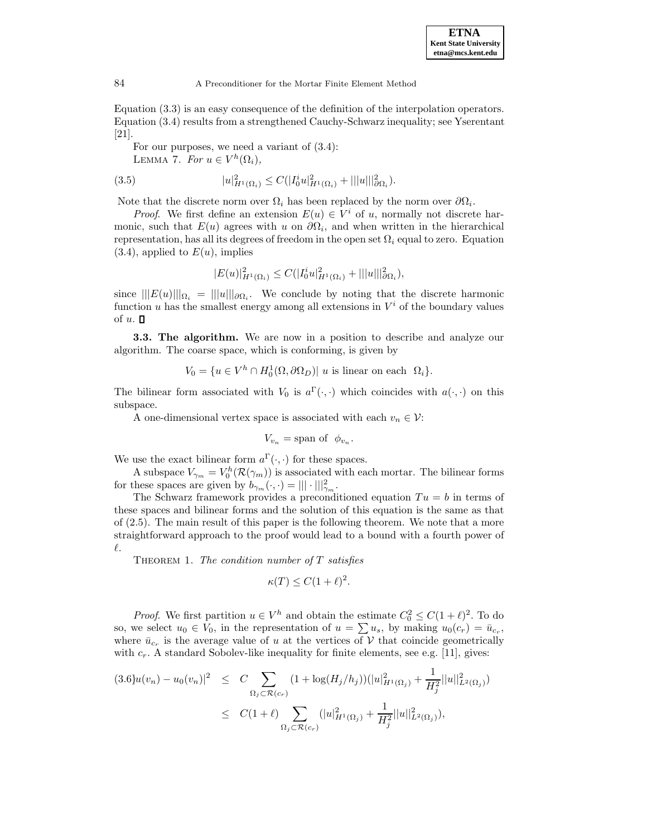Equation (3.3) is an easy consequence of the definition of the interpolation operators. Equation (3.4) results from a strengthened Cauchy-Schwarz inequality; see Yserentant [21].

For our purposes, we need a variant of (3.4):

LEMMA 7. For  $u \in V^h(\Omega_i)$ ,

(3.5) 
$$
|u|_{H^1(\Omega_i)}^2 \leq C(|I_0^i u|_{H^1(\Omega_i)}^2 + |||u|||_{\partial \Omega_i}^2).
$$

Note that the discrete norm over  $\Omega_i$  has been replaced by the norm over  $\partial\Omega_i$ .

*Proof.* We first define an extension  $E(u) \in V^i$  of u, normally not discrete harmonic, such that  $E(u)$  agrees with u on  $\partial\Omega_i$ , and when written in the hierarchical representation, has all its degrees of freedom in the open set  $\Omega_i$  equal to zero. Equation  $(3.4)$ , applied to  $E(u)$ , implies

$$
|E(u)|_{H^1(\Omega_i)}^2 \leq C(|I_0^i u|_{H^1(\Omega_i)}^2 + |||u|||_{\partial\Omega_i}^2),
$$

since  $|||E(u)||_{\Omega_i} = |||u||_{\partial \Omega_i}$ . We conclude by noting that the discrete harmonic function u has the smallest energy among all extensions in  $V^i$  of the boundary values of  $u$ .  $\Box$ 

**3.3. The algorithm.** We are now in a position to describe and analyze our algorithm. The coarse space, which is conforming, is given by

$$
V_0 = \{ u \in V^h \cap H_0^1(\Omega, \partial \Omega_D) | u \text{ is linear on each } \Omega_i \}.
$$

The bilinear form associated with  $V_0$  is  $a^{\Gamma}(\cdot, \cdot)$  which coincides with  $a(\cdot, \cdot)$  on this subspace.

A one-dimensional vertex space is associated with each  $v_n \in \mathcal{V}$ :

$$
V_{v_n} = \text{span of } \phi_{v_n}.
$$

We use the exact bilinear form  $a^{\Gamma}(\cdot, \cdot)$  for these spaces.

A subspace  $V_{\gamma_m} = V_0^h(\mathcal{R}(\gamma_m))$  is associated with each mortar. The bilinear forms for these spaces are given by  $b_{\gamma_m}(\cdot, \cdot) = ||| \cdot |||_{\gamma_m}^2$ .

The Schwarz framework provides a preconditioned equation  $Tu = b$  in terms of these spaces and bilinear forms and the solution of this equation is the same as that of (2.5). The main result of this paper is the following theorem. We note that a more straightforward approach to the proof would lead to a bound with a fourth power of  $\ell$ .

THEOREM 1. The condition number of  $T$  satisfies

$$
\kappa(T) \le C(1+\ell)^2.
$$

*Proof.* We first partition  $u \in V^h$  and obtain the estimate  $C_0^2 \le C(1+\ell)^2$ . To do so, we select  $u_0 \in V_0$ , in the representation of  $u = \sum u_s$ , by making  $u_0(c_r) = \bar{u}_{c_r}$ , where  $\bar{u}_{c_r}$  is the average value of u at the vertices of V that coincide geometrically with  $c_r$ . A standard Sobolev-like inequality for finite elements, see e.g. [11], gives:

$$
(3.6)u(v_n) - u_0(v_n)|^2 \leq C \sum_{\Omega_j \subset \mathcal{R}(c_r)} (1 + \log(H_j/h_j))(|u|_{H^1(\Omega_j)}^2 + \frac{1}{H_j^2}||u||_{L^2(\Omega_j)}^2)
$$
  

$$
\leq C(1+\ell) \sum_{\Omega_j \subset \mathcal{R}(c_r)} (|u|_{H^1(\Omega_j)}^2 + \frac{1}{H_j^2}||u||_{L^2(\Omega_j)}^2),
$$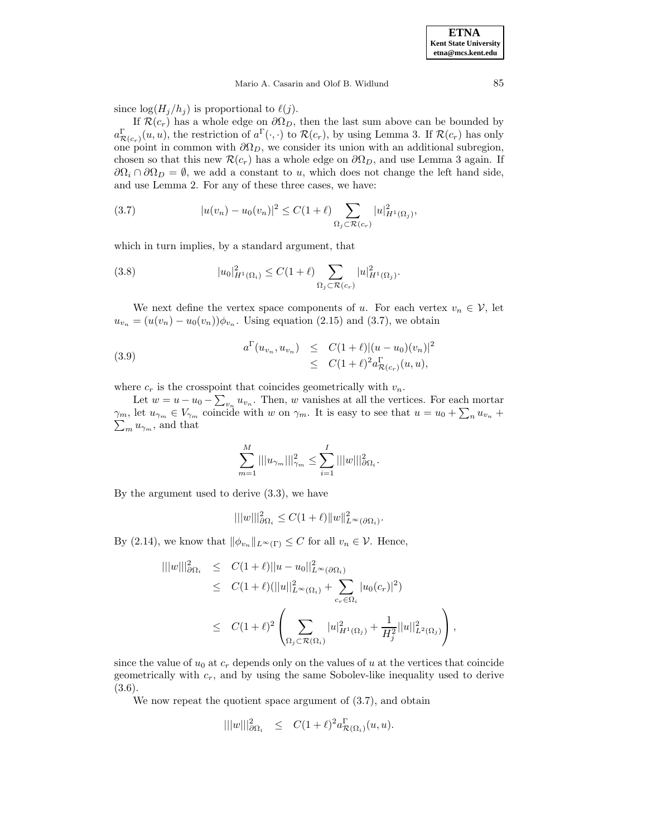### Mario A. Casarin and Olof B. Widlund 85

since  $\log(H_j/h_j)$  is proportional to  $\ell(j)$ .

If  $\mathcal{R}(c_r)$  has a whole edge on  $\partial \Omega_D$ , then the last sum above can be bounded by  $a_{\mathcal{R}(c_r)}^{\Gamma}(u, u)$ , the restriction of  $a^{\Gamma}(\cdot, \cdot)$  to  $\mathcal{R}(c_r)$ , by using Lemma 3. If  $\mathcal{R}(c_r)$  has only one point in common with  $\partial\Omega_D$ , we consider its union with an additional subregion, chosen so that this new  $\mathcal{R}(c_r)$  has a whole edge on  $\partial \Omega_D$ , and use Lemma 3 again. If  $\partial\Omega_i \cap \partial\Omega_p = \emptyset$ , we add a constant to u, which does not change the left hand side, and use Lemma 2. For any of these three cases, we have:

(3.7) 
$$
|u(v_n) - u_0(v_n)|^2 \le C(1 + \ell) \sum_{\Omega_j \subset \mathcal{R}(c_r)} |u|_{H^1(\Omega_j)}^2,
$$

which in turn implies, by a standard argument, that

(3.8) 
$$
|u_0|_{H^1(\Omega_i)}^2 \leq C(1+\ell) \sum_{\Omega_j \subset \mathcal{R}(c_r)} |u|_{H^1(\Omega_j)}^2.
$$

We next define the vertex space components of u. For each vertex  $v_n \in V$ , let  $u_{v_n} = (u(v_n) - u_0(v_n))\phi_{v_n}$ . Using equation (2.15) and (3.7), we obtain

(3.9) 
$$
a^{\Gamma}(u_{v_n}, u_{v_n}) \leq C(1+\ell)|(u-u_0)(v_n)|^2 \leq C(1+\ell)^2 a^{\Gamma}_{\mathcal{R}(c_r)}(u, u),
$$

where  $c_r$  is the crosspoint that coincides geometrically with  $v_n$ .

Let  $w = u - u_0 - \sum_{v_n} u_{v_n}$ . Then, w vanishes at all the vertices. For each mortar  $\gamma_m$ , let  $u_{\gamma_m} \in V_{\gamma_m}$  coincide with w on  $\gamma_m$ . It is easy to see that  $u = u_0 + \sum_n u_{v_n} + \sum_m u_{\gamma_m}$ , and that  $\sum_{m} u_{\gamma_m}$ , and that

$$
\sum_{m=1}^M |||u_{\gamma_m}|||_{\gamma_m}^2 \leq \sum_{i=1}^I |||w|||_{\partial\Omega_i}^2.
$$

By the argument used to derive (3.3), we have

$$
|||w|||_{\partial\Omega_i}^2 \le C(1+\ell) \|w\|_{L^\infty(\partial\Omega_i)}^2.
$$

By (2.14), we know that  $\|\phi_{v_n}\|_{L^{\infty}(\Gamma)} \leq C$  for all  $v_n \in \mathcal{V}$ . Hence,

$$
\| ||w||_{\partial\Omega_i}^2 \leq C(1+\ell) ||u - u_0||_{L^{\infty}(\partial\Omega_i)}^2
$$
  
\n
$$
\leq C(1+\ell) (||u||_{L^{\infty}(\Omega_i)}^2 + \sum_{c_r \in \Omega_i} |u_0(c_r)|^2)
$$
  
\n
$$
\leq C(1+\ell)^2 \left( \sum_{\Omega_j \subset \mathcal{R}(\Omega_i)} |u|_{H^1(\Omega_j)}^2 + \frac{1}{H_j^2} ||u||_{L^2(\Omega_j)}^2 \right),
$$

since the value of  $u_0$  at  $c_r$  depends only on the values of u at the vertices that coincide geometrically with  $c_r$ , and by using the same Sobolev-like inequality used to derive (3.6).

We now repeat the quotient space argument of  $(3.7)$ , and obtain

$$
|||w|||_{\partial\Omega_i}^2 \leq C(1+\ell)^2 a_{\mathcal{R}(\Omega_i)}^{\Gamma}(u,u).
$$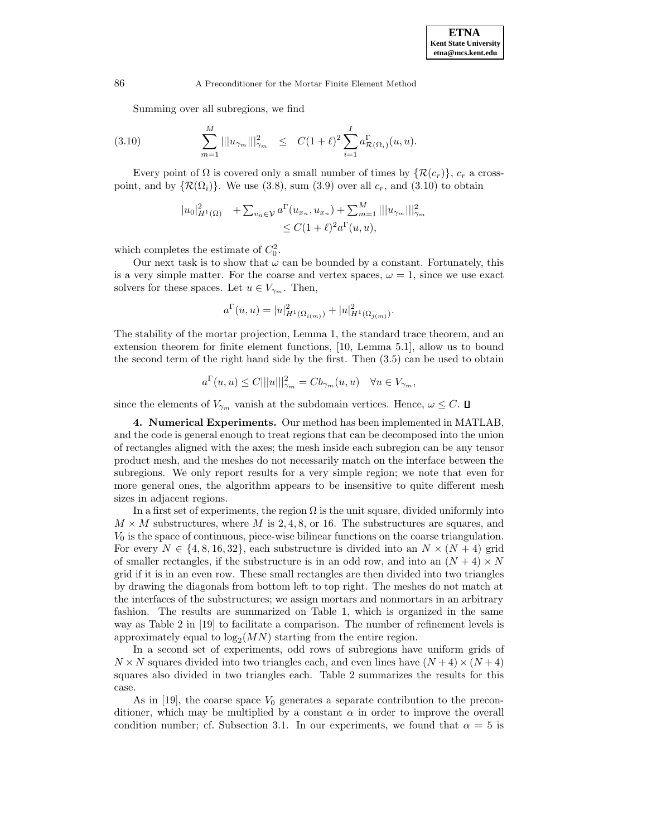Summing over all subregions, we find

(3.10) 
$$
\sum_{m=1}^{M} |||u_{\gamma_m}|||_{\gamma_m}^2 \leq C(1+\ell)^2 \sum_{i=1}^{I} a_{\mathcal{R}(\Omega_i)}^{\Gamma}(u,u).
$$

Every point of  $\Omega$  is covered only a small number of times by  $\{\mathcal{R}(c_r)\}\,$ ,  $c_r$  a crosspoint, and by  $\{\mathcal{R}(\Omega_i)\}\$ . We use (3.8), sum (3.9) over all  $c_r$ , and (3.10) to obtain

$$
|u_0|_{H^1(\Omega)}^2 + \sum_{v_n \in \mathcal{V}} a^{\Gamma}(u_{x_n}, u_{x_n}) + \sum_{m=1}^M |||u_{\gamma_m}|||_{\gamma_m}^2
$$
  

$$
\leq C(1+\ell)^2 a^{\Gamma}(u, u),
$$

which completes the estimate of  $C_0^2$ .

Our next task is to show that  $\omega$  can be bounded by a constant. Fortunately, this is a very simple matter. For the coarse and vertex spaces,  $\omega = 1$ , since we use exact solvers for these spaces. Let  $u \in V_{\gamma_m}$ . Then,

$$
a^{\Gamma}(u, u) = |u|_{H^1(\Omega_{i(m)})}^2 + |u|_{H^1(\Omega_{j(m)})}^2.
$$

The stability of the mortar projection, Lemma 1, the standard trace theorem, and an extension theorem for finite element functions, [10, Lemma 5.1], allow us to bound the second term of the right hand side by the first. Then (3.5) can be used to obtain

$$
a^{\Gamma}(u, u) \le C|||u|||_{\gamma_m}^2 = C b_{\gamma_m}(u, u) \quad \forall u \in V_{\gamma_m},
$$

since the elements of  $V_{\gamma_m}$  vanish at the subdomain vertices. Hence,  $\omega \leq C$ .  $\Box$ 

**4. Numerical Experiments.** Our method has been implemented in MATLAB, and the code is general enough to treat regions that can be decomposed into the union of rectangles aligned with the axes; the mesh inside each subregion can be any tensor product mesh, and the meshes do not necessarily match on the interface between the subregions. We only report results for a very simple region; we note that even for more general ones, the algorithm appears to be insensitive to quite different mesh sizes in adjacent regions.

In a first set of experiments, the region  $\Omega$  is the unit square, divided uniformly into  $M \times M$  substructures, where M is 2, 4, 8, or 16. The substructures are squares, and  $V_0$  is the space of continuous, piece-wise bilinear functions on the coarse triangulation. For every  $N \in \{4, 8, 16, 32\}$ , each substructure is divided into an  $N \times (N + 4)$  grid of smaller rectangles, if the substructure is in an odd row, and into an  $(N + 4) \times N$ grid if it is in an even row. These small rectangles are then divided into two triangles by drawing the diagonals from bottom left to top right. The meshes do not match at the interfaces of the substructures; we assign mortars and nonmortars in an arbitrary fashion. The results are summarized on Table 1, which is organized in the same way as Table 2 in [19] to facilitate a comparison. The number of refinement levels is approximately equal to  $\log_2(MN)$  starting from the entire region.

In a second set of experiments, odd rows of subregions have uniform grids of  $N \times N$  squares divided into two triangles each, and even lines have  $(N+4) \times (N+4)$ squares also divided in two triangles each. Table 2 summarizes the results for this case.

As in [19], the coarse space  $V_0$  generates a separate contribution to the preconditioner, which may be multiplied by a constant  $\alpha$  in order to improve the overall condition number; cf. Subsection 3.1. In our experiments, we found that  $\alpha = 5$  is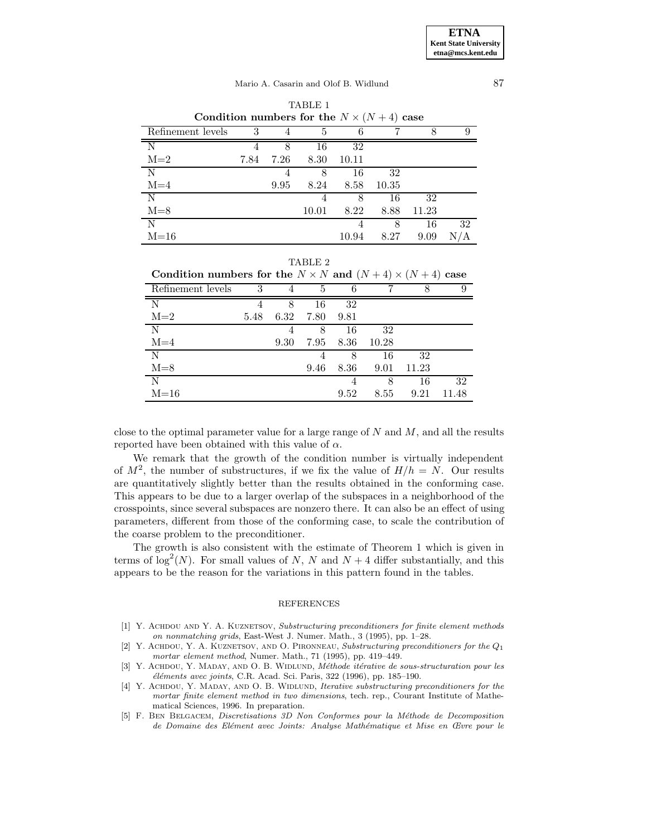## Mario A. Casarin and Olof B. Widlund 87

| Condition numbers for the $N \times (N+4)$ case |      |      |       |       |       |       |     |
|-------------------------------------------------|------|------|-------|-------|-------|-------|-----|
| Refinement levels                               | 3    | 4    | 5     | 6     |       | 8     | 9   |
| N                                               |      | 8    | 16    | 32    |       |       |     |
| $M=2$                                           | 7.84 | 7.26 | 8.30  | 10.11 |       |       |     |
| N                                               |      | 4    | 8     | 16    | 32    |       |     |
| $M=4$                                           |      | 9.95 | 8.24  | 8.58  | 10.35 |       |     |
| N                                               |      |      |       | 8     | 16    | 32    |     |
| $M=8$                                           |      |      | 10.01 | 8.22  | 8.88  | 11.23 |     |
| N                                               |      |      |       |       | 8     | 16    | 32  |
| $M=16$                                          |      |      |       | 10.94 | 8.27  | 9.09  | N/A |

| TABLE 1 |                                                                             |  |  |  |  |  |  |  |  |  |
|---------|-----------------------------------------------------------------------------|--|--|--|--|--|--|--|--|--|
|         | $1 \cdot 1 \cdot 1 \cdot 1 \cdot 0 \cdot 1 \cdot 1 \cdot 1 \cdot 1 \cdot 1$ |  |  |  |  |  |  |  |  |  |

|                                                                      |      |                | TABLE 2 |      |         |       |       |
|----------------------------------------------------------------------|------|----------------|---------|------|---------|-------|-------|
| Condition numbers for the $N \times N$ and $(N+4) \times (N+4)$ case |      |                |         |      |         |       |       |
| Refinement levels                                                    | 3    | $\overline{4}$ | 5       | 6    |         | 8     | 9     |
| N                                                                    |      | 8              | 16      | 32   |         |       |       |
| $M=2$                                                                | 5.48 | 6.32           | 7.80    | 9.81 |         |       |       |
| $\overline{N}$                                                       |      | 4              | 8       | 16   | 32      |       |       |
| $M=4$                                                                |      | 9.30           | 7.95    | 8.36 | - 10.28 |       |       |
| N                                                                    |      |                | 4       | 8    | -16     | -32   |       |
| $M = 8$                                                              |      |                | 9.46    | 8.36 | 9.01    | 11.23 |       |
| N                                                                    |      |                |         | 4    | 8       | 16    | 32    |
| $M=16$                                                               |      |                |         | 9.52 | 8.55    | 9.21  | 11.48 |

| $\mathbf{N}$ |  | $4 \qquad \delta \qquad 10 \qquad \delta\Delta$ |  |
|--------------|--|-------------------------------------------------|--|
| $M=2$        |  | 5.48 6.39 7.80 0.81                             |  |

close to the optimal parameter value for a large range of  $N$  and  $M$ , and all the results reported have been obtained with this value of  $\alpha$ .

We remark that the growth of the condition number is virtually independent of  $M^2$ , the number of substructures, if we fix the value of  $H/h = N$ . Our results are quantitatively slightly better than the results obtained in the conforming case. This appears to be due to a larger overlap of the subspaces in a neighborhood of the crosspoints, since several subspaces are nonzero there. It can also be an effect of using parameters, different from those of the conforming case, to scale the contribution of the coarse problem to the preconditioner.

The growth is also consistent with the estimate of Theorem 1 which is given in terms of  $\log^2(N)$ . For small values of N, N and  $N+4$  differ substantially, and this appears to be the reason for the variations in this pattern found in the tables.

### REFERENCES

- [1] Y. ACHDOU AND Y. A. KUZNETSOV, Substructuring preconditioners for finite element methods on nonmatching grids, East-West J. Numer. Math., 3 (1995), pp. 1–28.
- [2] Y. ACHDOU, Y. A. KUZNETSOV, AND O. PIRONNEAU, Substructuring preconditioners for the  $Q_1$ mortar element method, Numer. Math., 71 (1995), pp. 419–449.
- [3] Y. ACHDOU, Y. MADAY, AND O. B. WIDLUND, Méthode itérative de sous-structuration pour les  $'e\n *léments avec joints*, C.R. Acad. Sci. Paris, 322 (1996), pp. 185–190.$
- [4] Y. ACHDOU, Y. MADAY, AND O. B. WIDLUND, Iterative substructuring preconditioners for the mortar finite element method in two dimensions, tech. rep., Courant Institute of Mathematical Sciences, 1996. In preparation.
- [5] F. Ben Belgacem, Discretisations 3D Non Conformes pour la M´ethode de Decomposition de Domaine des Elément avec Joints: Analyse Mathématique et Mise en Œvre pour le